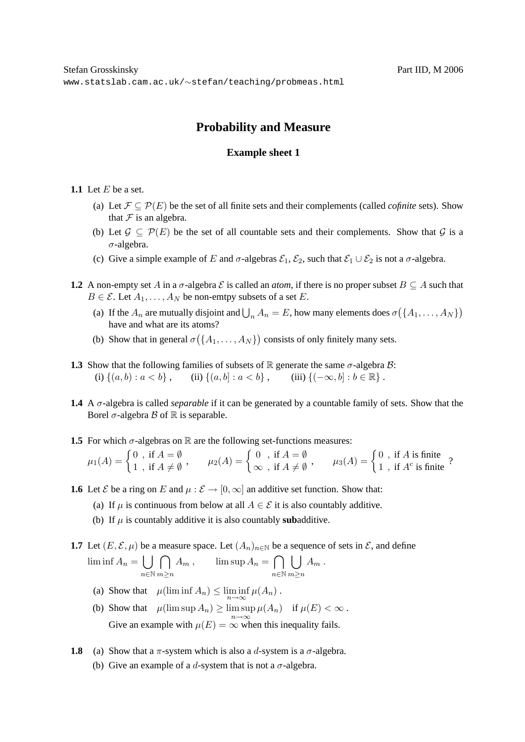# **Probability and Measure**

## **Example sheet 1**

- **1.1** Let  $E$  be a set.
	- (a) Let  $\mathcal{F} \subseteq \mathcal{P}(E)$  be the set of all finite sets and their complements (called *cofinite* sets). Show that  $\mathcal F$  is an algebra.
	- (b) Let  $\mathcal{G} \subset \mathcal{P}(E)$  be the set of all countable sets and their complements. Show that  $\mathcal{G}$  is a  $\sigma$ -algebra.
	- (c) Give a simple example of E and  $\sigma$ -algebras  $\mathcal{E}_1$ ,  $\mathcal{E}_2$ , such that  $\mathcal{E}_1 \cup \mathcal{E}_2$  is not a  $\sigma$ -algebra.
- **1.2** A non-empty set A in a  $\sigma$ -algebra  $\mathcal E$  is called an *atom*, if there is no proper subset  $B \subseteq A$  such that  $B \in \mathcal{E}$ . Let  $A_1, \ldots, A_N$  be non-emtpy subsets of a set E.
	- (a) If the  $A_n$  are mutually disjoint and  $\bigcup_n A_n = E$ , how many elements does  $\sigma(\lbrace A_1, \ldots, A_N \rbrace)$ have and what are its atoms?
	- (b) Show that in general  $\sigma(\lbrace A_1,\ldots,A_N \rbrace)$  consists of only finitely many sets.
- **1.3** Show that the following families of subsets of R generate the same  $\sigma$ -algebra B: (i)  $\{(a, b) : a < b\}$ , (ii)  $\{(a, b] : a < b\}$ , (iii)  $\{(-\infty, b] : b \in \mathbb{R}\}$ .
- **1.4** A σ-algebra is called *separable* if it can be generated by a countable family of sets. Show that the Borel  $\sigma$ -algebra  $\beta$  of  $\mathbb R$  is separable.
- **1.5** For which  $\sigma$ -algebras on R are the following set-functions measures:

$$
\mu_1(A) = \begin{cases} 0 \text{ , if } A = \emptyset \\ 1 \text{ , if } A \neq \emptyset \end{cases}, \qquad \mu_2(A) = \begin{cases} 0 \text{ , if } A = \emptyset \\ \infty \text{ , if } A \neq \emptyset \end{cases}, \qquad \mu_3(A) = \begin{cases} 0 \text{ , if } A \text{ is finite } \\ 1 \text{ , if } A^c \text{ is finite } \end{cases}
$$

- **1.6** Let  $\mathcal{E}$  be a ring on E and  $\mu : \mathcal{E} \to [0, \infty]$  an additive set function. Show that:
	- (a) If  $\mu$  is continuous from below at all  $A \in \mathcal{E}$  it is also countably additive.
	- (b) If  $\mu$  is countably additive it is also countably **sub**additive.

**1.7** Let  $(E, \mathcal{E}, \mu)$  be a measure space. Let  $(A_n)_{n \in \mathbb{N}}$  be a sequence of sets in  $\mathcal{E}$ , and define  $\liminf A_n = \Big\lfloor \ \Big\rfloor$ n∈N  $\cap$ m≥n  $A_m$ ,  $\limsup A_n = \bigcap$ n∈N  $\Box$ m≥n  $A_m$  .

- (a) Show that  $\mu(\liminf A_n) \leq \liminf_{n \to \infty} \mu(A_n)$ .
- (b) Show that  $\mu(\limsup A_n) \ge \limsup \mu(A_n)$  if  $\mu(E) < \infty$ . Give an example with  $\mu(E) = \infty^{\infty}$  when this inequality fails.
- **1.8** (a) Show that a  $\pi$ -system which is also a d-system is a  $\sigma$ -algebra.
	- (b) Give an example of a d-system that is not a  $\sigma$ -algebra.